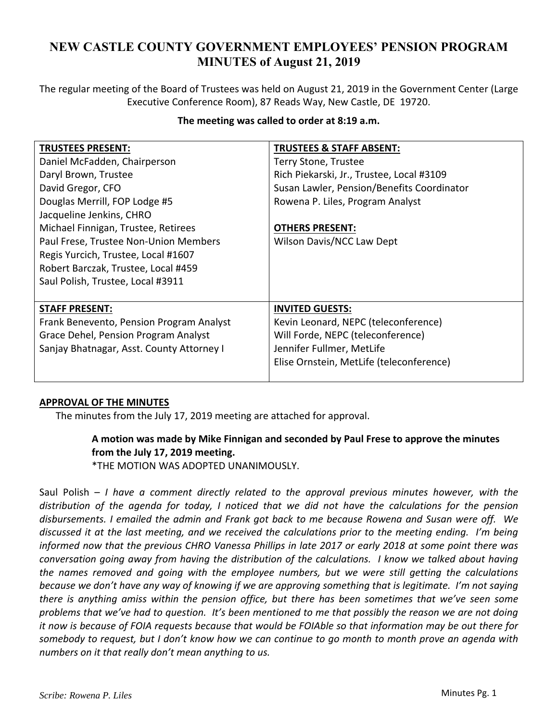# **NEW CASTLE COUNTY GOVERNMENT EMPLOYEES' PENSION PROGRAM MINUTES of August 21, 2019**

The regular meeting of the Board of Trustees was held on August 21, 2019 in the Government Center (Large Executive Conference Room), 87 Reads Way, New Castle, DE 19720.

| The meeting was called to order at 8:19 a.m. |
|----------------------------------------------|
|                                              |

| <b>TRUSTEES PRESENT:</b>                  | <b>TRUSTEES &amp; STAFF ABSENT:</b>        |
|-------------------------------------------|--------------------------------------------|
| Daniel McFadden, Chairperson              | Terry Stone, Trustee                       |
| Daryl Brown, Trustee                      | Rich Piekarski, Jr., Trustee, Local #3109  |
| David Gregor, CFO                         | Susan Lawler, Pension/Benefits Coordinator |
| Douglas Merrill, FOP Lodge #5             | Rowena P. Liles, Program Analyst           |
| Jacqueline Jenkins, CHRO                  |                                            |
| Michael Finnigan, Trustee, Retirees       | <b>OTHERS PRESENT:</b>                     |
| Paul Frese, Trustee Non-Union Members     | Wilson Davis/NCC Law Dept                  |
| Regis Yurcich, Trustee, Local #1607       |                                            |
| Robert Barczak, Trustee, Local #459       |                                            |
| Saul Polish, Trustee, Local #3911         |                                            |
|                                           |                                            |
| <b>STAFF PRESENT:</b>                     | <b>INVITED GUESTS:</b>                     |
| Frank Benevento, Pension Program Analyst  | Kevin Leonard, NEPC (teleconference)       |
| Grace Dehel, Pension Program Analyst      | Will Forde, NEPC (teleconference)          |
| Sanjay Bhatnagar, Asst. County Attorney I | Jennifer Fullmer, MetLife                  |
|                                           | Elise Ornstein, MetLife (teleconference)   |
|                                           |                                            |

## **APPROVAL OF THE MINUTES**

The minutes from the July 17, 2019 meeting are attached for approval.

## **A motion was made by Mike Finnigan and seconded by Paul Frese to approve the minutes from the July 17, 2019 meeting.**

\*THE MOTION WAS ADOPTED UNANIMOUSLY.

Saul Polish – *I have a comment directly related to the approval previous minutes however, with the distribution of the agenda for today, I noticed that we did not have the calculations for the pension disbursements. I emailed the admin and Frank got back to me because Rowena and Susan were off. We discussed it at the last meeting, and we received the calculations prior to the meeting ending. I'm being informed now that the previous CHRO Vanessa Phillips in late 2017 or early 2018 at some point there was conversation going away from having the distribution of the calculations. I know we talked about having the names removed and going with the employee numbers, but we were still getting the calculations because we don't have any way of knowing if we are approving something that is legitimate. I'm not saying there is anything amiss within the pension office, but there has been sometimes that we've seen some problems that we've had to question. It's been mentioned to me that possibly the reason we are not doing it now is because of FOIA requests because that would be FOIAble so that information may be out there for somebody to request, but I don't know how we can continue to go month to month prove an agenda with*  numbers on it that really don't mean anything to us.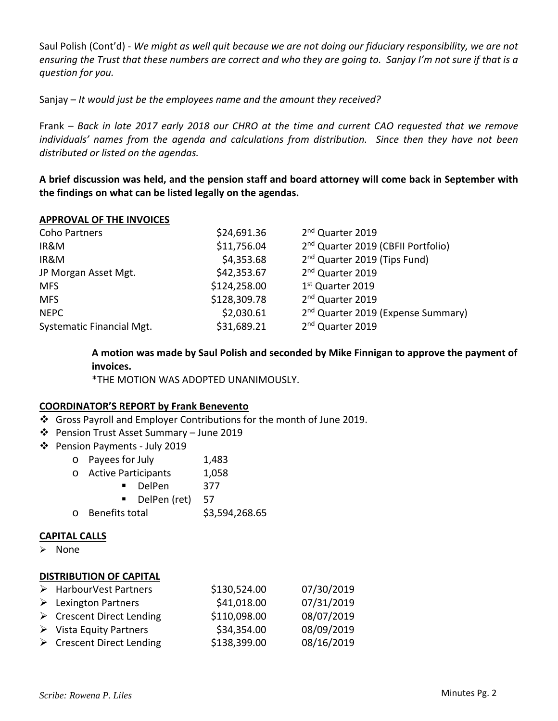Saul Polish (Cont'd) ‐ *We might as well quit because we are not doing our fiduciary responsibility, we are not ensuring the Trust that these numbers are correct and who they are going to. Sanjay I'm not sure if that is a question for you.* 

Sanjay – *It would just be the employees name and the amount they received?* 

Frank – *Back in late 2017 early 2018 our CHRO at the time and current CAO requested that we remove individuals' names from the agenda and calculations from distribution. Since then they have not been distributed or listed on the agendas.* 

**A brief discussion was held, and the pension staff and board attorney will come back in September with the findings on what can be listed legally on the agendas.** 

## **APPROVAL OF THE INVOICES**

| Coho Partners             | \$24,691.36  | 2 <sup>nd</sup> Quarter 2019                   |
|---------------------------|--------------|------------------------------------------------|
| IR&M                      | \$11,756.04  | 2 <sup>nd</sup> Quarter 2019 (CBFII Portfolio) |
| IR&M                      | \$4,353.68   | 2 <sup>nd</sup> Quarter 2019 (Tips Fund)       |
| JP Morgan Asset Mgt.      | \$42,353.67  | 2 <sup>nd</sup> Quarter 2019                   |
| <b>MFS</b>                | \$124,258.00 | 1 <sup>st</sup> Quarter 2019                   |
| <b>MFS</b>                | \$128,309.78 | 2 <sup>nd</sup> Quarter 2019                   |
| <b>NEPC</b>               | \$2,030.61   | 2 <sup>nd</sup> Quarter 2019 (Expense Summary) |
| Systematic Financial Mgt. | \$31,689.21  | 2 <sup>nd</sup> Quarter 2019                   |

**A motion was made by Saul Polish and seconded by Mike Finnigan to approve the payment of invoices.** 

\*THE MOTION WAS ADOPTED UNANIMOUSLY.

## **COORDINATOR'S REPORT by Frank Benevento**

- Gross Payroll and Employer Contributions for the month of June 2019.
- Pension Trust Asset Summary June 2019
- Pension Payments ‐ July 2019
	- o Payees for July 1,483
	- o Active Participants 1,058
		- DelPen 377
		- DelPen (ret) 57
	- o Benefits total \$3,594,268.65

## **CAPITAL CALLS**

 $\triangleright$  None

## **DISTRIBUTION OF CAPITAL**

| > HarbourVest Partners                   | \$130,524.00 | 07/30/2019 |
|------------------------------------------|--------------|------------|
| $\triangleright$ Lexington Partners      | \$41,018.00  | 07/31/2019 |
| $\triangleright$ Crescent Direct Lending | \$110,098.00 | 08/07/2019 |
| $\triangleright$ Vista Equity Partners   | \$34,354.00  | 08/09/2019 |
| $\triangleright$ Crescent Direct Lending | \$138,399.00 | 08/16/2019 |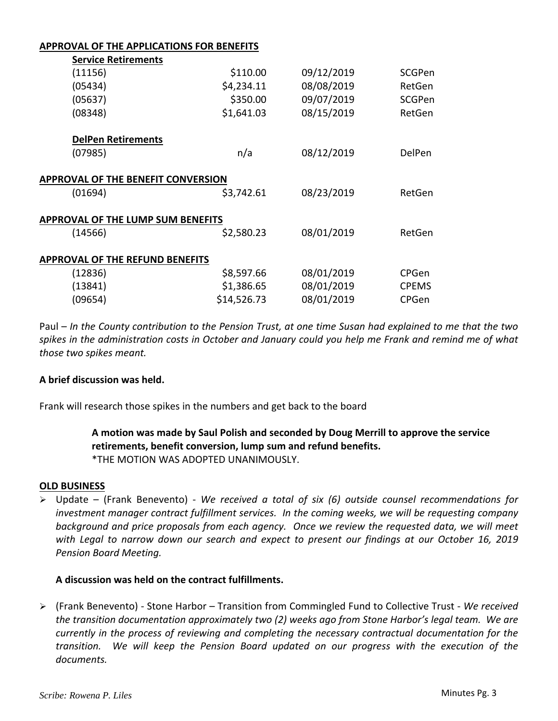## **APPROVAL OF THE APPLICATIONS FOR BENEFITS**

| <b>Service Retirements</b>                |             |            |              |
|-------------------------------------------|-------------|------------|--------------|
| (11156)                                   | \$110.00    | 09/12/2019 | SCGPen       |
| (05434)                                   | \$4,234.11  | 08/08/2019 | RetGen       |
| (05637)                                   | \$350.00    | 09/07/2019 | SCGPen       |
| (08348)                                   | \$1,641.03  | 08/15/2019 | RetGen       |
| <b>DelPen Retirements</b>                 |             |            |              |
| (07985)                                   | n/a         | 08/12/2019 | DelPen       |
| <b>APPROVAL OF THE BENEFIT CONVERSION</b> |             |            |              |
| (01694)                                   | \$3,742.61  | 08/23/2019 | RetGen       |
| <b>APPROVAL OF THE LUMP SUM BENEFITS</b>  |             |            |              |
| (14566)                                   | \$2,580.23  | 08/01/2019 | RetGen       |
| <b>APPROVAL OF THE REFUND BENEFITS</b>    |             |            |              |
| (12836)                                   | \$8,597.66  | 08/01/2019 | <b>CPGen</b> |
| (13841)                                   | \$1,386.65  | 08/01/2019 | <b>CPEMS</b> |
| (09654)                                   | \$14,526.73 | 08/01/2019 | CPGen        |

Paul – *In the County contribution to the Pension Trust, at one time Susan had explained to me that the two spikes in the administration costs in October and January could you help me Frank and remind me of what those two spikes meant.* 

## **A brief discussion was held.**

Frank will research those spikes in the numbers and get back to the board

**A motion was made by Saul Polish and seconded by Doug Merrill to approve the service retirements, benefit conversion, lump sum and refund benefits.**  \*THE MOTION WAS ADOPTED UNANIMOUSLY.

## **OLD BUSINESS**

 Update – (Frank Benevento) ‐ *We received a total of six (6) outside counsel recommendations for investment manager contract fulfillment services. In the coming weeks, we will be requesting company background and price proposals from each agency. Once we review the requested data, we will meet with Legal to narrow down our search and expect to present our findings at our October 16, 2019 Pension Board Meeting.* 

## **A discussion was held on the contract fulfillments.**

 (Frank Benevento) ‐ Stone Harbor – Transition from Commingled Fund to Collective Trust ‐ *We received the transition documentation approximately two (2) weeks ago from Stone Harbor's legal team. We are currently in the process of reviewing and completing the necessary contractual documentation for the transition. We will keep the Pension Board updated on our progress with the execution of the documents.*